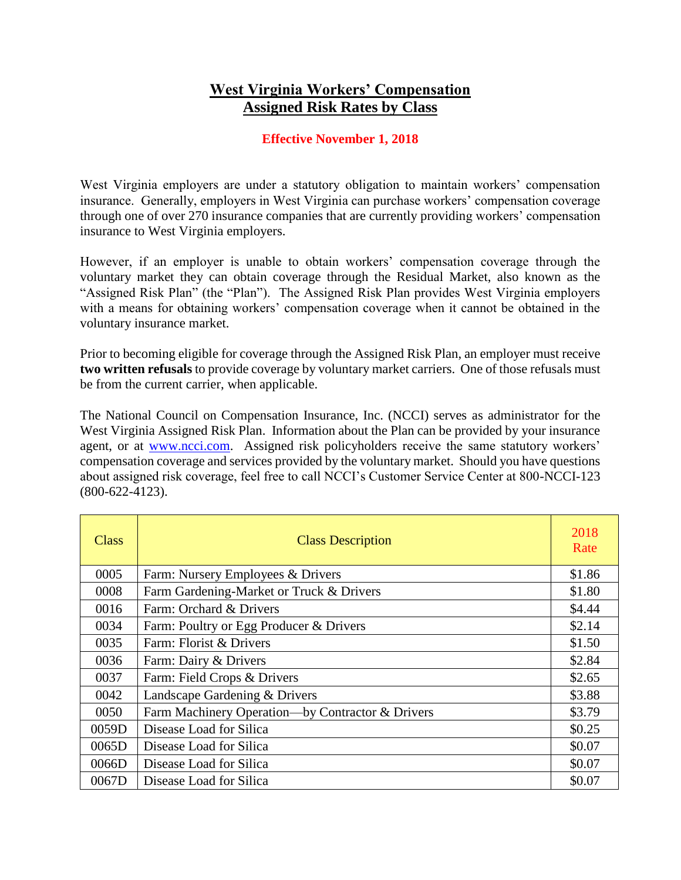## **West Virginia Workers' Compensation Assigned Risk Rates by Class**

## **Effective November 1, 2018**

West Virginia employers are under a statutory obligation to maintain workers' compensation insurance. Generally, employers in West Virginia can purchase workers' compensation coverage through one of over 270 insurance companies that are currently providing workers' compensation insurance to West Virginia employers.

However, if an employer is unable to obtain workers' compensation coverage through the voluntary market they can obtain coverage through the Residual Market, also known as the "Assigned Risk Plan" (the "Plan"). The Assigned Risk Plan provides West Virginia employers with a means for obtaining workers' compensation coverage when it cannot be obtained in the voluntary insurance market.

Prior to becoming eligible for coverage through the Assigned Risk Plan, an employer must receive **two written refusals** to provide coverage by voluntary market carriers. One of those refusals must be from the current carrier, when applicable.

The National Council on Compensation Insurance, Inc. (NCCI) serves as administrator for the West Virginia Assigned Risk Plan. Information about the Plan can be provided by your insurance agent, or at [www.ncci.com.](file://///oicbcnas01/users/JWARD/MISC-work/www.ncci.com) Assigned risk policyholders receive the same statutory workers' compensation coverage and services provided by the voluntary market. Should you have questions about assigned risk coverage, feel free to call NCCI's Customer Service Center at 800-NCCI-123 (800-622-4123).

| Class | <b>Class Description</b>                         | 2018<br>Rate |
|-------|--------------------------------------------------|--------------|
| 0005  | Farm: Nursery Employees & Drivers                | \$1.86       |
| 0008  | Farm Gardening-Market or Truck & Drivers         | \$1.80       |
| 0016  | Farm: Orchard & Drivers                          | \$4.44       |
| 0034  | Farm: Poultry or Egg Producer & Drivers          | \$2.14       |
| 0035  | Farm: Florist & Drivers                          | \$1.50       |
| 0036  | Farm: Dairy & Drivers                            | \$2.84       |
| 0037  | Farm: Field Crops & Drivers                      | \$2.65       |
| 0042  | Landscape Gardening & Drivers                    | \$3.88       |
| 0050  | Farm Machinery Operation—by Contractor & Drivers | \$3.79       |
| 0059D | Disease Load for Silica                          | \$0.25       |
| 0065D | Disease Load for Silica                          | \$0.07       |
| 0066D | Disease Load for Silica                          | \$0.07       |
| 0067D | Disease Load for Silica                          | \$0.07       |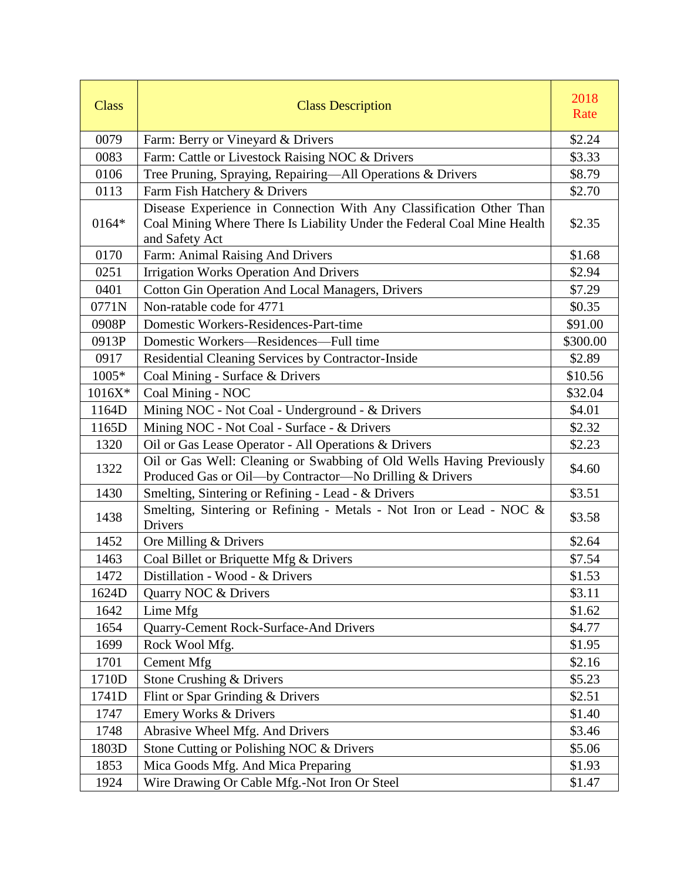| <b>Class</b> | <b>Class Description</b>                                                                                                                                         | 2018<br>Rate |
|--------------|------------------------------------------------------------------------------------------------------------------------------------------------------------------|--------------|
| 0079         | Farm: Berry or Vineyard & Drivers                                                                                                                                | \$2.24       |
| 0083         | Farm: Cattle or Livestock Raising NOC & Drivers                                                                                                                  | \$3.33       |
| 0106         | Tree Pruning, Spraying, Repairing—All Operations & Drivers                                                                                                       | \$8.79       |
| 0113         | Farm Fish Hatchery & Drivers                                                                                                                                     | \$2.70       |
| 0164*        | Disease Experience in Connection With Any Classification Other Than<br>Coal Mining Where There Is Liability Under the Federal Coal Mine Health<br>and Safety Act | \$2.35       |
| 0170         | Farm: Animal Raising And Drivers                                                                                                                                 | \$1.68       |
| 0251         | <b>Irrigation Works Operation And Drivers</b>                                                                                                                    | \$2.94       |
| 0401         | <b>Cotton Gin Operation And Local Managers, Drivers</b>                                                                                                          | \$7.29       |
| 0771N        | Non-ratable code for 4771                                                                                                                                        | \$0.35       |
| 0908P        | Domestic Workers-Residences-Part-time                                                                                                                            | \$91.00      |
| 0913P        | Domestic Workers—Residences—Full time                                                                                                                            | \$300.00     |
| 0917         | Residential Cleaning Services by Contractor-Inside                                                                                                               | \$2.89       |
| 1005*        | Coal Mining - Surface & Drivers                                                                                                                                  | \$10.56      |
| $1016X*$     | Coal Mining - NOC                                                                                                                                                | \$32.04      |
| 1164D        | Mining NOC - Not Coal - Underground - & Drivers                                                                                                                  | \$4.01       |
| 1165D        | Mining NOC - Not Coal - Surface - & Drivers                                                                                                                      | \$2.32       |
| 1320         | Oil or Gas Lease Operator - All Operations & Drivers                                                                                                             | \$2.23       |
| 1322         | Oil or Gas Well: Cleaning or Swabbing of Old Wells Having Previously<br>Produced Gas or Oil-by Contractor-No Drilling & Drivers                                  | \$4.60       |
| 1430         | Smelting, Sintering or Refining - Lead - & Drivers                                                                                                               | \$3.51       |
| 1438         | Smelting, Sintering or Refining - Metals - Not Iron or Lead - NOC &<br>Drivers                                                                                   | \$3.58       |
| 1452         | Ore Milling & Drivers                                                                                                                                            | \$2.64       |
| 1463         | Coal Billet or Briquette Mfg & Drivers                                                                                                                           | \$7.54       |
| 1472         | Distillation - Wood - & Drivers                                                                                                                                  | \$1.53       |
| 1624D        | Quarry NOC & Drivers                                                                                                                                             | \$3.11       |
| 1642         | Lime Mfg                                                                                                                                                         | \$1.62       |
| 1654         | Quarry-Cement Rock-Surface-And Drivers                                                                                                                           | \$4.77       |
| 1699         | Rock Wool Mfg.                                                                                                                                                   | \$1.95       |
| 1701         | <b>Cement Mfg</b>                                                                                                                                                | \$2.16       |
| 1710D        | Stone Crushing & Drivers                                                                                                                                         | \$5.23       |
| 1741D        | Flint or Spar Grinding & Drivers                                                                                                                                 | \$2.51       |
| 1747         | Emery Works & Drivers                                                                                                                                            | \$1.40       |
| 1748         | Abrasive Wheel Mfg. And Drivers                                                                                                                                  | \$3.46       |
| 1803D        | Stone Cutting or Polishing NOC & Drivers                                                                                                                         | \$5.06       |
| 1853         | Mica Goods Mfg. And Mica Preparing                                                                                                                               | \$1.93       |
| 1924         | Wire Drawing Or Cable Mfg.-Not Iron Or Steel                                                                                                                     | \$1.47       |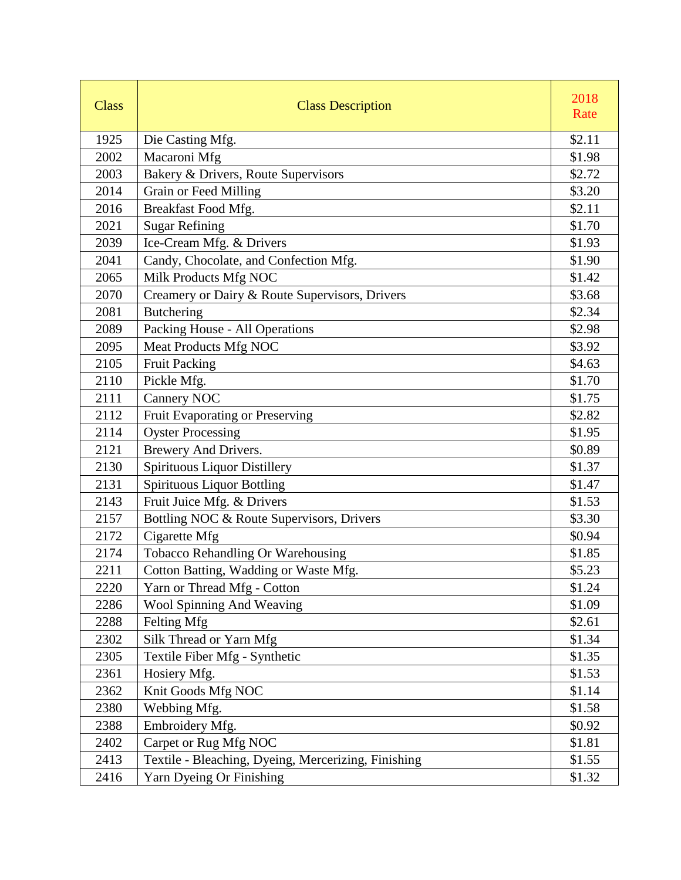| <b>Class</b> | <b>Class Description</b>                            | 2018<br>Rate |
|--------------|-----------------------------------------------------|--------------|
| 1925         | Die Casting Mfg.                                    | \$2.11       |
| 2002         | Macaroni Mfg                                        | \$1.98       |
| 2003         | Bakery & Drivers, Route Supervisors                 | \$2.72       |
| 2014         | Grain or Feed Milling                               | \$3.20       |
| 2016         | Breakfast Food Mfg.                                 | \$2.11       |
| 2021         | <b>Sugar Refining</b>                               | \$1.70       |
| 2039         | Ice-Cream Mfg. & Drivers                            | \$1.93       |
| 2041         | Candy, Chocolate, and Confection Mfg.               | \$1.90       |
| 2065         | Milk Products Mfg NOC                               | \$1.42       |
| 2070         | Creamery or Dairy & Route Supervisors, Drivers      | \$3.68       |
| 2081         | <b>Butchering</b>                                   | \$2.34       |
| 2089         | Packing House - All Operations                      | \$2.98       |
| 2095         | Meat Products Mfg NOC                               | \$3.92       |
| 2105         | <b>Fruit Packing</b>                                | \$4.63       |
| 2110         | Pickle Mfg.                                         | \$1.70       |
| 2111         | <b>Cannery NOC</b>                                  | \$1.75       |
| 2112         | Fruit Evaporating or Preserving                     | \$2.82       |
| 2114         | <b>Oyster Processing</b>                            | \$1.95       |
| 2121         | Brewery And Drivers.                                | \$0.89       |
| 2130         | <b>Spirituous Liquor Distillery</b>                 | \$1.37       |
| 2131         | <b>Spirituous Liquor Bottling</b>                   | \$1.47       |
| 2143         | Fruit Juice Mfg. & Drivers                          | \$1.53       |
| 2157         | Bottling NOC & Route Supervisors, Drivers           | \$3.30       |
| 2172         | Cigarette Mfg                                       | \$0.94       |
| 2174         | Tobacco Rehandling Or Warehousing                   | \$1.85       |
| 2211         | Cotton Batting, Wadding or Waste Mfg.               | \$5.23       |
| 2220         | Yarn or Thread Mfg - Cotton                         | \$1.24       |
| 2286         | Wool Spinning And Weaving                           | \$1.09       |
| 2288         | Felting Mfg                                         | \$2.61       |
| 2302         | Silk Thread or Yarn Mfg                             | \$1.34       |
| 2305         | Textile Fiber Mfg - Synthetic                       | \$1.35       |
| 2361         | Hosiery Mfg.                                        | \$1.53       |
| 2362         | Knit Goods Mfg NOC                                  | \$1.14       |
| 2380         | Webbing Mfg.                                        | \$1.58       |
| 2388         | Embroidery Mfg.                                     | \$0.92       |
| 2402         | Carpet or Rug Mfg NOC                               | \$1.81       |
| 2413         | Textile - Bleaching, Dyeing, Mercerizing, Finishing | \$1.55       |
| 2416         | Yarn Dyeing Or Finishing                            | \$1.32       |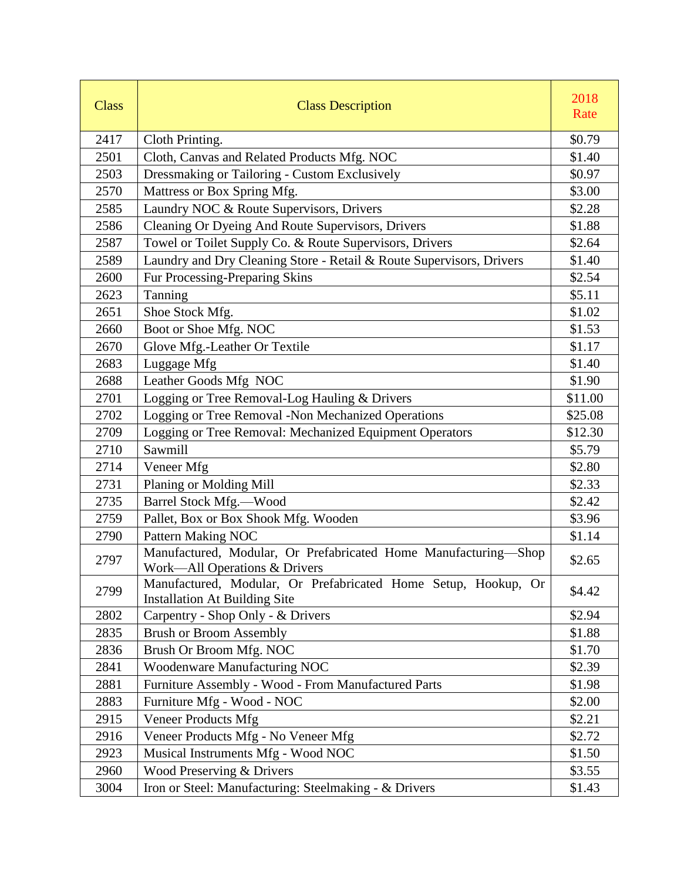| <b>Class</b> | <b>Class Description</b>                                                                               | 2018<br>Rate |
|--------------|--------------------------------------------------------------------------------------------------------|--------------|
| 2417         | Cloth Printing.                                                                                        | \$0.79       |
| 2501         | Cloth, Canvas and Related Products Mfg. NOC                                                            | \$1.40       |
| 2503         | Dressmaking or Tailoring - Custom Exclusively                                                          | \$0.97       |
| 2570         | Mattress or Box Spring Mfg.                                                                            | \$3.00       |
| 2585         | Laundry NOC & Route Supervisors, Drivers                                                               | \$2.28       |
| 2586         | Cleaning Or Dyeing And Route Supervisors, Drivers                                                      | \$1.88       |
| 2587         | Towel or Toilet Supply Co. & Route Supervisors, Drivers                                                | \$2.64       |
| 2589         | Laundry and Dry Cleaning Store - Retail & Route Supervisors, Drivers                                   | \$1.40       |
| 2600         | Fur Processing-Preparing Skins                                                                         | \$2.54       |
| 2623         | Tanning                                                                                                | \$5.11       |
| 2651         | Shoe Stock Mfg.                                                                                        | \$1.02       |
| 2660         | Boot or Shoe Mfg. NOC                                                                                  | \$1.53       |
| 2670         | Glove Mfg.-Leather Or Textile                                                                          | \$1.17       |
| 2683         | Luggage Mfg                                                                                            | \$1.40       |
| 2688         | Leather Goods Mfg NOC                                                                                  | \$1.90       |
| 2701         | Logging or Tree Removal-Log Hauling & Drivers                                                          | \$11.00      |
| 2702         | Logging or Tree Removal -Non Mechanized Operations                                                     | \$25.08      |
| 2709         | Logging or Tree Removal: Mechanized Equipment Operators                                                | \$12.30      |
| 2710         | Sawmill                                                                                                | \$5.79       |
| 2714         | Veneer Mfg                                                                                             | \$2.80       |
| 2731         | Planing or Molding Mill                                                                                | \$2.33       |
| 2735         | Barrel Stock Mfg.-Wood                                                                                 | \$2.42       |
| 2759         | Pallet, Box or Box Shook Mfg. Wooden                                                                   | \$3.96       |
| 2790         | <b>Pattern Making NOC</b>                                                                              | \$1.14       |
| 2797         | Manufactured, Modular, Or Prefabricated Home Manufacturing-Shop<br>Work-All Operations & Drivers       | \$2.65       |
| 2799         | Manufactured, Modular, Or Prefabricated Home Setup, Hookup, Or<br><b>Installation At Building Site</b> | \$4.42       |
| 2802         | Carpentry - Shop Only - & Drivers                                                                      | \$2.94       |
| 2835         | <b>Brush or Broom Assembly</b>                                                                         | \$1.88       |
| 2836         | Brush Or Broom Mfg. NOC                                                                                | \$1.70       |
| 2841         | <b>Woodenware Manufacturing NOC</b>                                                                    | \$2.39       |
| 2881         | Furniture Assembly - Wood - From Manufactured Parts                                                    | \$1.98       |
| 2883         | Furniture Mfg - Wood - NOC                                                                             | \$2.00       |
| 2915         | <b>Veneer Products Mfg</b>                                                                             | \$2.21       |
| 2916         | Veneer Products Mfg - No Veneer Mfg                                                                    | \$2.72       |
| 2923         | Musical Instruments Mfg - Wood NOC                                                                     | \$1.50       |
| 2960         | Wood Preserving & Drivers                                                                              | \$3.55       |
| 3004         | Iron or Steel: Manufacturing: Steelmaking - & Drivers                                                  | \$1.43       |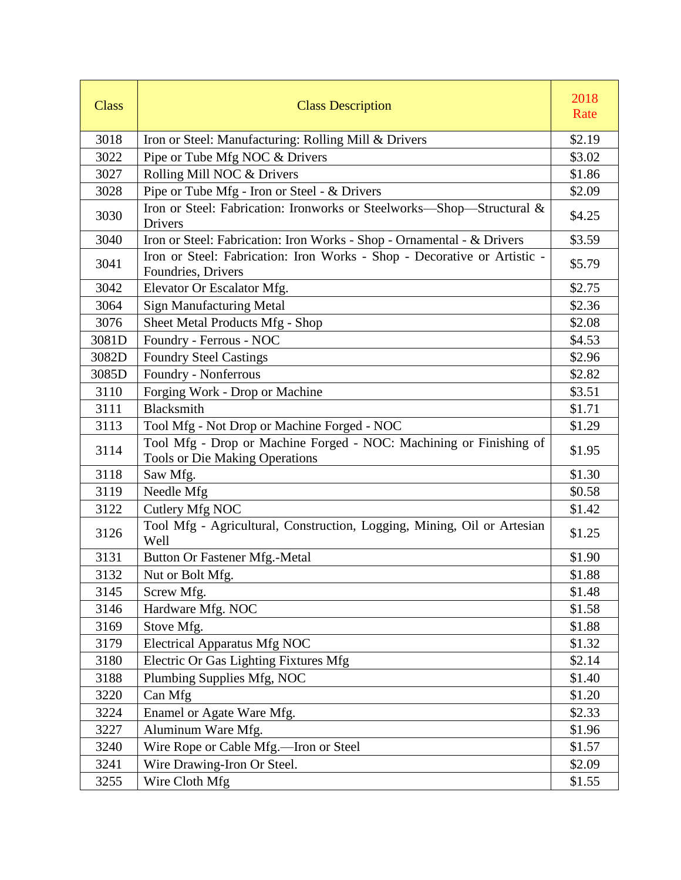| <b>Class</b> | <b>Class Description</b>                                                                                    | 2018<br>Rate |
|--------------|-------------------------------------------------------------------------------------------------------------|--------------|
| 3018         | Iron or Steel: Manufacturing: Rolling Mill & Drivers                                                        | \$2.19       |
| 3022         | Pipe or Tube Mfg NOC & Drivers                                                                              | \$3.02       |
| 3027         | Rolling Mill NOC & Drivers                                                                                  | \$1.86       |
| 3028         | Pipe or Tube Mfg - Iron or Steel - & Drivers                                                                | \$2.09       |
| 3030         | Iron or Steel: Fabrication: Ironworks or Steelworks-Shop-Structural &<br>Drivers                            | \$4.25       |
| 3040         | Iron or Steel: Fabrication: Iron Works - Shop - Ornamental - & Drivers                                      | \$3.59       |
| 3041         | Iron or Steel: Fabrication: Iron Works - Shop - Decorative or Artistic -<br>Foundries, Drivers              | \$5.79       |
| 3042         | Elevator Or Escalator Mfg.                                                                                  | \$2.75       |
| 3064         | <b>Sign Manufacturing Metal</b>                                                                             | \$2.36       |
| 3076         | Sheet Metal Products Mfg - Shop                                                                             | \$2.08       |
| 3081D        | Foundry - Ferrous - NOC                                                                                     | \$4.53       |
| 3082D        | <b>Foundry Steel Castings</b>                                                                               | \$2.96       |
| 3085D        | Foundry - Nonferrous                                                                                        | \$2.82       |
| 3110         | Forging Work - Drop or Machine                                                                              | \$3.51       |
| 3111         | Blacksmith                                                                                                  | \$1.71       |
| 3113         | Tool Mfg - Not Drop or Machine Forged - NOC                                                                 | \$1.29       |
| 3114         | Tool Mfg - Drop or Machine Forged - NOC: Machining or Finishing of<br><b>Tools or Die Making Operations</b> | \$1.95       |
| 3118         | Saw Mfg.                                                                                                    | \$1.30       |
| 3119         | Needle Mfg                                                                                                  | \$0.58       |
| 3122         | Cutlery Mfg NOC                                                                                             | \$1.42       |
| 3126         | Tool Mfg - Agricultural, Construction, Logging, Mining, Oil or Artesian<br>Well                             | \$1.25       |
| 3131         | <b>Button Or Fastener Mfg.-Metal</b>                                                                        | \$1.90       |
| 3132         | Nut or Bolt Mfg.                                                                                            | \$1.88       |
| 3145         | Screw Mfg.                                                                                                  | \$1.48       |
| 3146         | Hardware Mfg. NOC                                                                                           | \$1.58       |
| 3169         | Stove Mfg.                                                                                                  | \$1.88       |
| 3179         | <b>Electrical Apparatus Mfg NOC</b>                                                                         | \$1.32       |
| 3180         | Electric Or Gas Lighting Fixtures Mfg                                                                       | \$2.14       |
| 3188         | Plumbing Supplies Mfg, NOC                                                                                  | \$1.40       |
| 3220         | Can Mfg                                                                                                     | \$1.20       |
| 3224         | Enamel or Agate Ware Mfg.                                                                                   | \$2.33       |
| 3227         | Aluminum Ware Mfg.                                                                                          | \$1.96       |
| 3240         | Wire Rope or Cable Mfg.-Iron or Steel                                                                       | \$1.57       |
| 3241         | Wire Drawing-Iron Or Steel.                                                                                 | \$2.09       |
| 3255         | Wire Cloth Mfg                                                                                              | \$1.55       |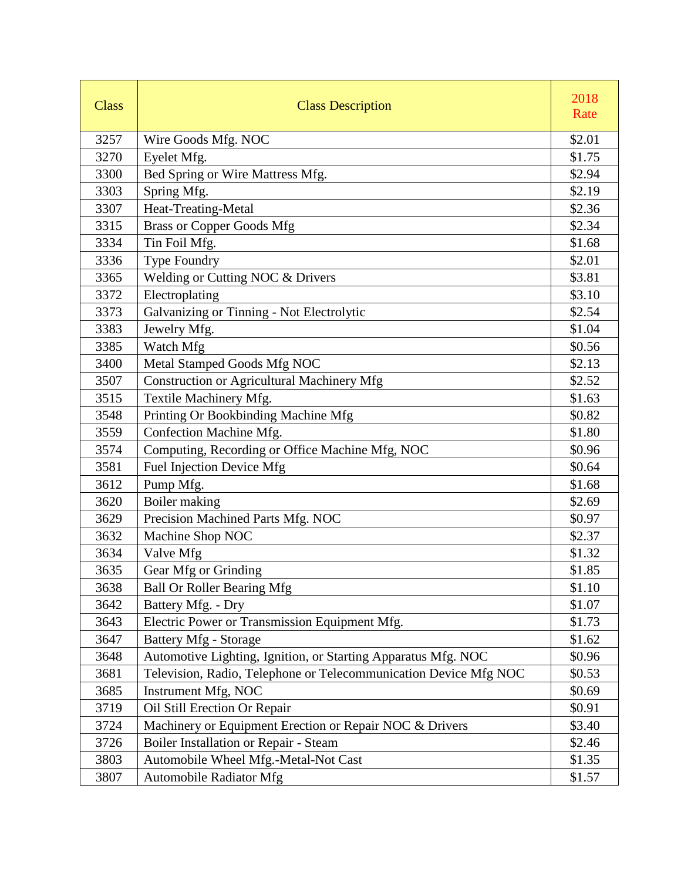| <b>Class</b> | <b>Class Description</b>                                         | 2018<br>Rate |
|--------------|------------------------------------------------------------------|--------------|
| 3257         | Wire Goods Mfg. NOC                                              | \$2.01       |
| 3270         | Eyelet Mfg.                                                      | \$1.75       |
| 3300         | Bed Spring or Wire Mattress Mfg.                                 | \$2.94       |
| 3303         | Spring Mfg.                                                      | \$2.19       |
| 3307         | Heat-Treating-Metal                                              | \$2.36       |
| 3315         | <b>Brass or Copper Goods Mfg</b>                                 | \$2.34       |
| 3334         | Tin Foil Mfg.                                                    | \$1.68       |
| 3336         | Type Foundry                                                     | \$2.01       |
| 3365         | Welding or Cutting NOC & Drivers                                 | \$3.81       |
| 3372         | Electroplating                                                   | \$3.10       |
| 3373         | Galvanizing or Tinning - Not Electrolytic                        | \$2.54       |
| 3383         | Jewelry Mfg.                                                     | \$1.04       |
| 3385         | Watch Mfg                                                        | \$0.56       |
| 3400         | Metal Stamped Goods Mfg NOC                                      | \$2.13       |
| 3507         | <b>Construction or Agricultural Machinery Mfg</b>                | \$2.52       |
| 3515         | Textile Machinery Mfg.                                           | \$1.63       |
| 3548         | Printing Or Bookbinding Machine Mfg                              | \$0.82       |
| 3559         | Confection Machine Mfg.                                          | \$1.80       |
| 3574         | Computing, Recording or Office Machine Mfg, NOC                  | \$0.96       |
| 3581         | Fuel Injection Device Mfg                                        | \$0.64       |
| 3612         | Pump Mfg.                                                        | \$1.68       |
| 3620         | Boiler making                                                    | \$2.69       |
| 3629         | Precision Machined Parts Mfg. NOC                                | \$0.97       |
| 3632         | Machine Shop NOC                                                 | \$2.37       |
| 3634         | Valve Mfg                                                        | \$1.32       |
| 3635         | Gear Mfg or Grinding                                             | \$1.85       |
| 3638         | <b>Ball Or Roller Bearing Mfg</b>                                | \$1.10       |
| 3642         | Battery Mfg. - Dry                                               | \$1.07       |
| 3643         | Electric Power or Transmission Equipment Mfg.                    | \$1.73       |
| 3647         | <b>Battery Mfg - Storage</b>                                     | \$1.62       |
| 3648         | Automotive Lighting, Ignition, or Starting Apparatus Mfg. NOC    | \$0.96       |
| 3681         | Television, Radio, Telephone or Telecommunication Device Mfg NOC | \$0.53       |
| 3685         | Instrument Mfg, NOC                                              | \$0.69       |
| 3719         | Oil Still Erection Or Repair                                     | \$0.91       |
| 3724         | Machinery or Equipment Erection or Repair NOC & Drivers          | \$3.40       |
| 3726         | Boiler Installation or Repair - Steam                            | \$2.46       |
| 3803         | Automobile Wheel Mfg.-Metal-Not Cast                             | \$1.35       |
| 3807         | <b>Automobile Radiator Mfg</b>                                   | \$1.57       |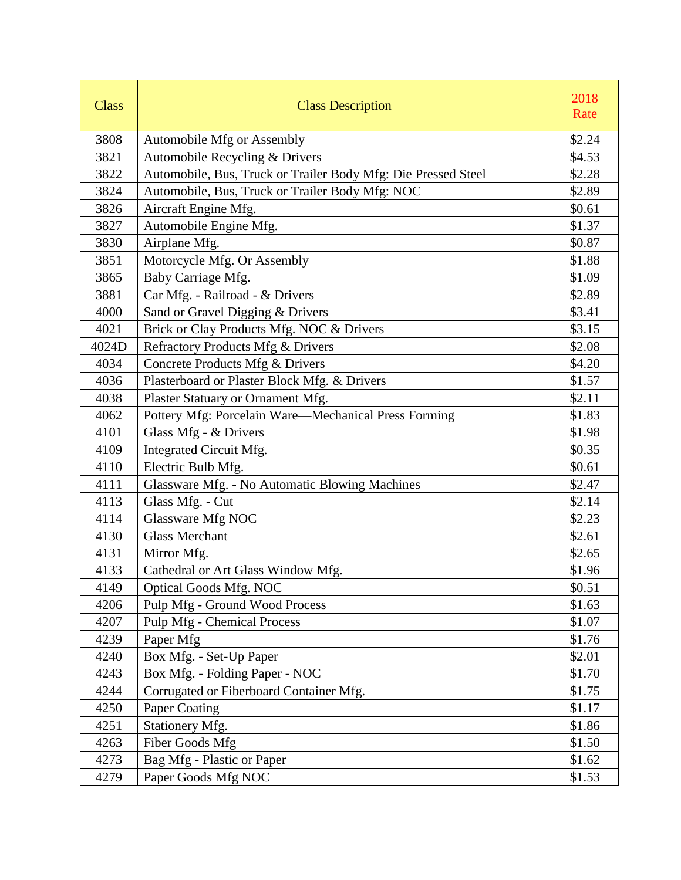| <b>Class</b> | <b>Class Description</b>                                      | 2018<br>Rate |
|--------------|---------------------------------------------------------------|--------------|
| 3808         | Automobile Mfg or Assembly                                    | \$2.24       |
| 3821         | Automobile Recycling & Drivers                                | \$4.53       |
| 3822         | Automobile, Bus, Truck or Trailer Body Mfg: Die Pressed Steel | \$2.28       |
| 3824         | Automobile, Bus, Truck or Trailer Body Mfg: NOC               | \$2.89       |
| 3826         | Aircraft Engine Mfg.                                          | \$0.61       |
| 3827         | Automobile Engine Mfg.                                        | \$1.37       |
| 3830         | Airplane Mfg.                                                 | \$0.87       |
| 3851         | Motorcycle Mfg. Or Assembly                                   | \$1.88       |
| 3865         | Baby Carriage Mfg.                                            | \$1.09       |
| 3881         | Car Mfg. - Railroad - & Drivers                               | \$2.89       |
| 4000         | Sand or Gravel Digging & Drivers                              | \$3.41       |
| 4021         | Brick or Clay Products Mfg. NOC & Drivers                     | \$3.15       |
| 4024D        | Refractory Products Mfg & Drivers                             | \$2.08       |
| 4034         | Concrete Products Mfg & Drivers                               | \$4.20       |
| 4036         | Plasterboard or Plaster Block Mfg. & Drivers                  | \$1.57       |
| 4038         | Plaster Statuary or Ornament Mfg.                             | \$2.11       |
| 4062         | Pottery Mfg: Porcelain Ware-Mechanical Press Forming          | \$1.83       |
| 4101         | Glass Mfg - & Drivers                                         | \$1.98       |
| 4109         | Integrated Circuit Mfg.                                       | \$0.35       |
| 4110         | Electric Bulb Mfg.                                            | \$0.61       |
| 4111         | Glassware Mfg. - No Automatic Blowing Machines                | \$2.47       |
| 4113         | Glass Mfg. - Cut                                              | \$2.14       |
| 4114         | Glassware Mfg NOC                                             | \$2.23       |
| 4130         | <b>Glass Merchant</b>                                         | \$2.61       |
| 4131         | Mirror Mfg.                                                   | \$2.65       |
| 4133         | Cathedral or Art Glass Window Mfg.                            | \$1.96       |
| 4149         | <b>Optical Goods Mfg. NOC</b>                                 | \$0.51       |
| 4206         | Pulp Mfg - Ground Wood Process                                | \$1.63       |
| 4207         | <b>Pulp Mfg - Chemical Process</b>                            | \$1.07       |
| 4239         | Paper Mfg                                                     | \$1.76       |
| 4240         | Box Mfg. - Set-Up Paper                                       | \$2.01       |
| 4243         | Box Mfg. - Folding Paper - NOC                                | \$1.70       |
| 4244         | Corrugated or Fiberboard Container Mfg.                       | \$1.75       |
| 4250         | Paper Coating                                                 | \$1.17       |
| 4251         | Stationery Mfg.                                               | \$1.86       |
| 4263         | <b>Fiber Goods Mfg</b>                                        | \$1.50       |
| 4273         | Bag Mfg - Plastic or Paper                                    | \$1.62       |
| 4279         | Paper Goods Mfg NOC                                           | \$1.53       |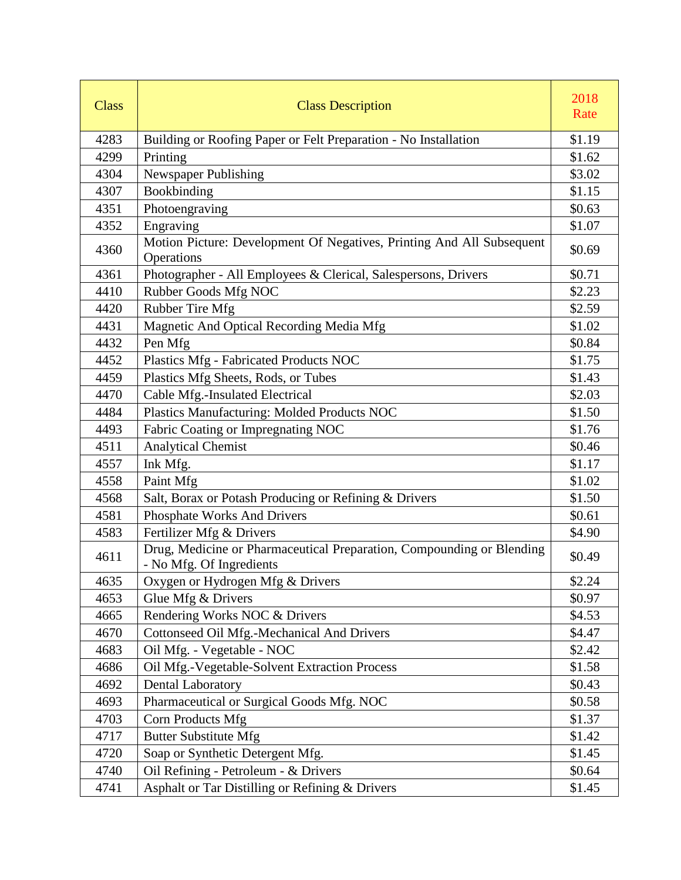| <b>Class</b> | <b>Class Description</b>                                                                          | 2018<br>Rate |
|--------------|---------------------------------------------------------------------------------------------------|--------------|
| 4283         | Building or Roofing Paper or Felt Preparation - No Installation                                   | \$1.19       |
| 4299         | Printing                                                                                          | \$1.62       |
| 4304         | Newspaper Publishing                                                                              | \$3.02       |
| 4307         | Bookbinding                                                                                       | \$1.15       |
| 4351         | Photoengraving                                                                                    | \$0.63       |
| 4352         | Engraving                                                                                         | \$1.07       |
| 4360         | Motion Picture: Development Of Negatives, Printing And All Subsequent<br>Operations               | \$0.69       |
| 4361         | Photographer - All Employees & Clerical, Salespersons, Drivers                                    | \$0.71       |
| 4410         | Rubber Goods Mfg NOC                                                                              | \$2.23       |
| 4420         | Rubber Tire Mfg                                                                                   | \$2.59       |
| 4431         | Magnetic And Optical Recording Media Mfg                                                          | \$1.02       |
| 4432         | Pen Mfg                                                                                           | \$0.84       |
| 4452         | Plastics Mfg - Fabricated Products NOC                                                            | \$1.75       |
| 4459         | Plastics Mfg Sheets, Rods, or Tubes                                                               | \$1.43       |
| 4470         | Cable Mfg.-Insulated Electrical                                                                   | \$2.03       |
| 4484         | Plastics Manufacturing: Molded Products NOC                                                       | \$1.50       |
| 4493         | Fabric Coating or Impregnating NOC                                                                | \$1.76       |
| 4511         | <b>Analytical Chemist</b>                                                                         | \$0.46       |
| 4557         | Ink Mfg.                                                                                          | \$1.17       |
| 4558         | Paint Mfg                                                                                         | \$1.02       |
| 4568         | Salt, Borax or Potash Producing or Refining & Drivers                                             | \$1.50       |
| 4581         | Phosphate Works And Drivers                                                                       | \$0.61       |
| 4583         | Fertilizer Mfg & Drivers                                                                          | \$4.90       |
| 4611         | Drug, Medicine or Pharmaceutical Preparation, Compounding or Blending<br>- No Mfg. Of Ingredients | \$0.49       |
| 4635         | Oxygen or Hydrogen Mfg & Drivers                                                                  | \$2.24       |
| 4653         | Glue Mfg & Drivers                                                                                | \$0.97       |
| 4665         | Rendering Works NOC & Drivers                                                                     | \$4.53       |
| 4670         | Cottonseed Oil Mfg.-Mechanical And Drivers                                                        | \$4.47       |
| 4683         | Oil Mfg. - Vegetable - NOC                                                                        | \$2.42       |
| 4686         | Oil Mfg.-Vegetable-Solvent Extraction Process                                                     | \$1.58       |
| 4692         | <b>Dental Laboratory</b>                                                                          | \$0.43       |
| 4693         | Pharmaceutical or Surgical Goods Mfg. NOC                                                         | \$0.58       |
| 4703         | Corn Products Mfg                                                                                 | \$1.37       |
| 4717         | <b>Butter Substitute Mfg</b>                                                                      | \$1.42       |
| 4720         | Soap or Synthetic Detergent Mfg.                                                                  | \$1.45       |
| 4740         | Oil Refining - Petroleum - & Drivers                                                              | \$0.64       |
| 4741         | Asphalt or Tar Distilling or Refining & Drivers                                                   | \$1.45       |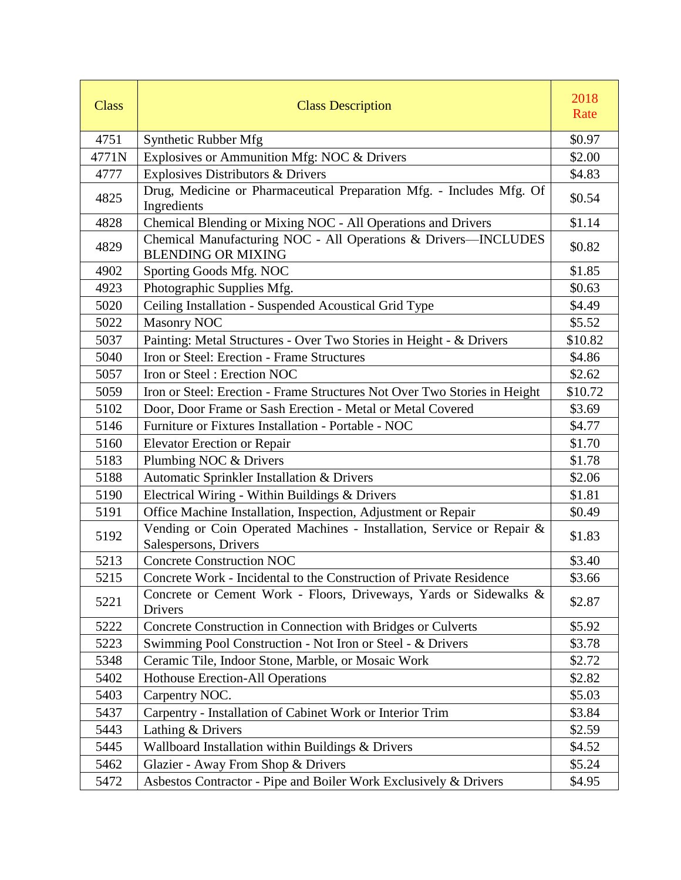| <b>Class</b> | <b>Class Description</b>                                                                       | 2018<br>Rate |
|--------------|------------------------------------------------------------------------------------------------|--------------|
| 4751         | Synthetic Rubber Mfg                                                                           | \$0.97       |
| 4771N        | Explosives or Ammunition Mfg: NOC & Drivers                                                    | \$2.00       |
| 4777         | Explosives Distributors & Drivers                                                              | \$4.83       |
| 4825         | Drug, Medicine or Pharmaceutical Preparation Mfg. - Includes Mfg. Of<br>Ingredients            | \$0.54       |
| 4828         | Chemical Blending or Mixing NOC - All Operations and Drivers                                   | \$1.14       |
| 4829         | Chemical Manufacturing NOC - All Operations & Drivers-INCLUDES<br><b>BLENDING OR MIXING</b>    | \$0.82       |
| 4902         | Sporting Goods Mfg. NOC                                                                        | \$1.85       |
| 4923         | Photographic Supplies Mfg.                                                                     | \$0.63       |
| 5020         | Ceiling Installation - Suspended Acoustical Grid Type                                          | \$4.49       |
| 5022         | <b>Masonry NOC</b>                                                                             | \$5.52       |
| 5037         | Painting: Metal Structures - Over Two Stories in Height - & Drivers                            | \$10.82      |
| 5040         | Iron or Steel: Erection - Frame Structures                                                     | \$4.86       |
| 5057         | Iron or Steel: Erection NOC                                                                    | \$2.62       |
| 5059         | Iron or Steel: Erection - Frame Structures Not Over Two Stories in Height                      | \$10.72      |
| 5102         | Door, Door Frame or Sash Erection - Metal or Metal Covered                                     | \$3.69       |
| 5146         | Furniture or Fixtures Installation - Portable - NOC                                            | \$4.77       |
| 5160         | <b>Elevator Erection or Repair</b>                                                             | \$1.70       |
| 5183         | Plumbing NOC & Drivers                                                                         | \$1.78       |
| 5188         | Automatic Sprinkler Installation & Drivers                                                     | \$2.06       |
| 5190         | Electrical Wiring - Within Buildings & Drivers                                                 | \$1.81       |
| 5191         | Office Machine Installation, Inspection, Adjustment or Repair                                  | \$0.49       |
| 5192         | Vending or Coin Operated Machines - Installation, Service or Repair &<br>Salespersons, Drivers | \$1.83       |
| 5213         | <b>Concrete Construction NOC</b>                                                               | \$3.40       |
| 5215         | Concrete Work - Incidental to the Construction of Private Residence                            | \$3.66       |
| 5221         | Concrete or Cement Work - Floors, Driveways, Yards or Sidewalks &<br>Drivers                   | \$2.87       |
| 5222         | Concrete Construction in Connection with Bridges or Culverts                                   | \$5.92       |
| 5223         | Swimming Pool Construction - Not Iron or Steel - & Drivers                                     | \$3.78       |
| 5348         | Ceramic Tile, Indoor Stone, Marble, or Mosaic Work                                             | \$2.72       |
| 5402         | Hothouse Erection-All Operations                                                               | \$2.82       |
| 5403         | Carpentry NOC.                                                                                 | \$5.03       |
| 5437         | Carpentry - Installation of Cabinet Work or Interior Trim                                      | \$3.84       |
| 5443         | Lathing & Drivers                                                                              | \$2.59       |
| 5445         | Wallboard Installation within Buildings & Drivers                                              | \$4.52       |
| 5462         | Glazier - Away From Shop & Drivers                                                             | \$5.24       |
| 5472         | Asbestos Contractor - Pipe and Boiler Work Exclusively & Drivers                               | \$4.95       |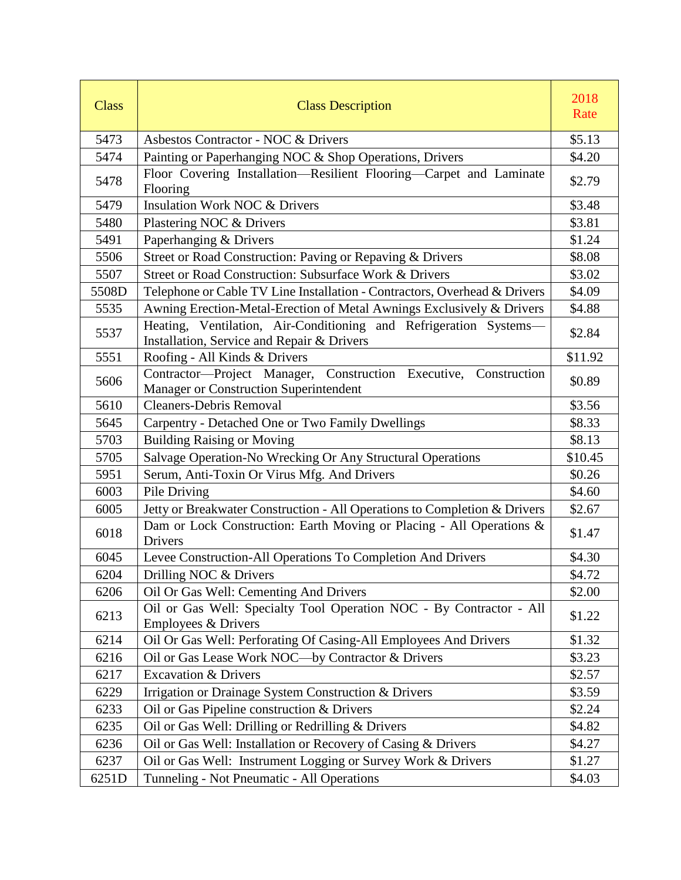| <b>Class</b> | <b>Class Description</b>                                                                                        | 2018<br>Rate |
|--------------|-----------------------------------------------------------------------------------------------------------------|--------------|
| 5473         | Asbestos Contractor - NOC & Drivers                                                                             | \$5.13       |
| 5474         | Painting or Paperhanging NOC & Shop Operations, Drivers                                                         | \$4.20       |
| 5478         | Floor Covering Installation-Resilient Flooring-Carpet and Laminate<br>Flooring                                  | \$2.79       |
| 5479         | <b>Insulation Work NOC &amp; Drivers</b>                                                                        | \$3.48       |
| 5480         | Plastering NOC & Drivers                                                                                        | \$3.81       |
| 5491         | Paperhanging & Drivers                                                                                          | \$1.24       |
| 5506         | Street or Road Construction: Paving or Repaving & Drivers                                                       | \$8.08       |
| 5507         | Street or Road Construction: Subsurface Work & Drivers                                                          | \$3.02       |
| 5508D        | Telephone or Cable TV Line Installation - Contractors, Overhead & Drivers                                       | \$4.09       |
| 5535         | Awning Erection-Metal-Erection of Metal Awnings Exclusively & Drivers                                           | \$4.88       |
| 5537         | Heating, Ventilation, Air-Conditioning and Refrigeration Systems-<br>Installation, Service and Repair & Drivers | \$2.84       |
| 5551         | Roofing - All Kinds & Drivers                                                                                   | \$11.92      |
| 5606         | Contractor-Project Manager, Construction Executive,<br>Construction<br>Manager or Construction Superintendent   | \$0.89       |
| 5610         | <b>Cleaners-Debris Removal</b>                                                                                  | \$3.56       |
| 5645         | Carpentry - Detached One or Two Family Dwellings                                                                | \$8.33       |
| 5703         | <b>Building Raising or Moving</b>                                                                               | \$8.13       |
| 5705         | Salvage Operation-No Wrecking Or Any Structural Operations                                                      | \$10.45      |
| 5951         | Serum, Anti-Toxin Or Virus Mfg. And Drivers                                                                     | \$0.26       |
| 6003         | Pile Driving                                                                                                    | \$4.60       |
| 6005         | Jetty or Breakwater Construction - All Operations to Completion & Drivers                                       | \$2.67       |
| 6018         | Dam or Lock Construction: Earth Moving or Placing - All Operations &<br>Drivers                                 | \$1.47       |
| 6045         | Levee Construction-All Operations To Completion And Drivers                                                     | \$4.30       |
| 6204         | Drilling NOC & Drivers                                                                                          | \$4.72       |
| 6206         | Oil Or Gas Well: Cementing And Drivers                                                                          | \$2.00       |
| 6213         | Oil or Gas Well: Specialty Tool Operation NOC - By Contractor - All<br>Employees & Drivers                      | \$1.22       |
| 6214         | Oil Or Gas Well: Perforating Of Casing-All Employees And Drivers                                                | \$1.32       |
| 6216         | Oil or Gas Lease Work NOC—by Contractor & Drivers                                                               | \$3.23       |
| 6217         | <b>Excavation &amp; Drivers</b>                                                                                 | \$2.57       |
| 6229         | Irrigation or Drainage System Construction & Drivers                                                            | \$3.59       |
| 6233         | Oil or Gas Pipeline construction & Drivers                                                                      | \$2.24       |
| 6235         | Oil or Gas Well: Drilling or Redrilling & Drivers                                                               | \$4.82       |
| 6236         | Oil or Gas Well: Installation or Recovery of Casing & Drivers                                                   | \$4.27       |
| 6237         | Oil or Gas Well: Instrument Logging or Survey Work & Drivers                                                    | \$1.27       |
| 6251D        | Tunneling - Not Pneumatic - All Operations                                                                      | \$4.03       |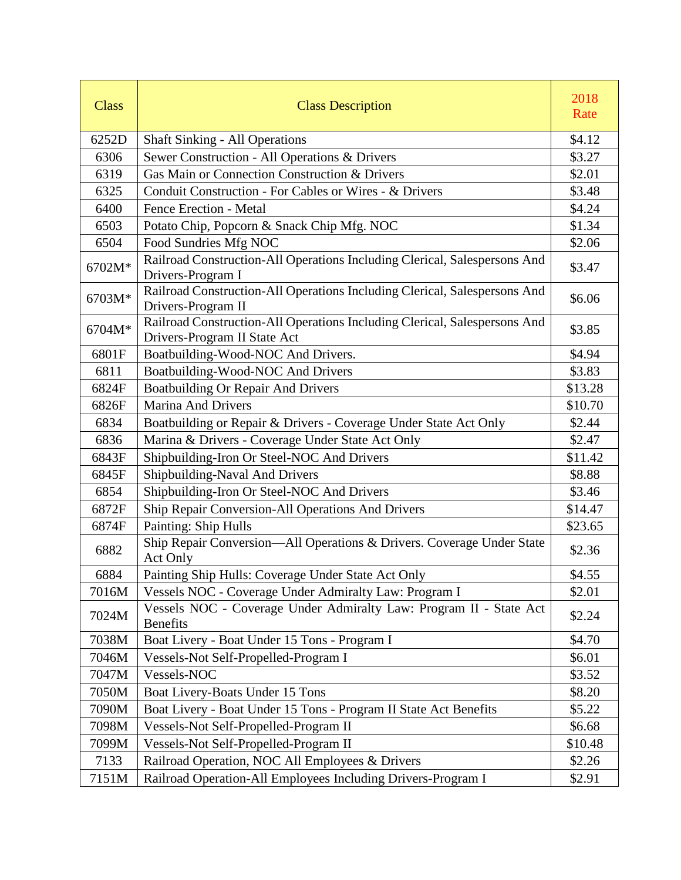| <b>Class</b> | <b>Class Description</b>                                                                                  | 2018<br>Rate |
|--------------|-----------------------------------------------------------------------------------------------------------|--------------|
| 6252D        | <b>Shaft Sinking - All Operations</b>                                                                     | \$4.12       |
| 6306         | Sewer Construction - All Operations & Drivers                                                             | \$3.27       |
| 6319         | Gas Main or Connection Construction & Drivers                                                             | \$2.01       |
| 6325         | Conduit Construction - For Cables or Wires - & Drivers                                                    | \$3.48       |
| 6400         | Fence Erection - Metal                                                                                    | \$4.24       |
| 6503         | Potato Chip, Popcorn & Snack Chip Mfg. NOC                                                                | \$1.34       |
| 6504         | Food Sundries Mfg NOC                                                                                     | \$2.06       |
| 6702M*       | Railroad Construction-All Operations Including Clerical, Salespersons And<br>Drivers-Program I            | \$3.47       |
| 6703M*       | Railroad Construction-All Operations Including Clerical, Salespersons And<br>Drivers-Program II           | \$6.06       |
| 6704M*       | Railroad Construction-All Operations Including Clerical, Salespersons And<br>Drivers-Program II State Act | \$3.85       |
| 6801F        | Boatbuilding-Wood-NOC And Drivers.                                                                        | \$4.94       |
| 6811         | Boatbuilding-Wood-NOC And Drivers                                                                         | \$3.83       |
| 6824F        | <b>Boatbuilding Or Repair And Drivers</b>                                                                 | \$13.28      |
| 6826F        | <b>Marina And Drivers</b>                                                                                 | \$10.70      |
| 6834         | Boatbuilding or Repair & Drivers - Coverage Under State Act Only                                          | \$2.44       |
| 6836         | Marina & Drivers - Coverage Under State Act Only                                                          | \$2.47       |
| 6843F        | Shipbuilding-Iron Or Steel-NOC And Drivers                                                                | \$11.42      |
| 6845F        | Shipbuilding-Naval And Drivers                                                                            | \$8.88       |
| 6854         | Shipbuilding-Iron Or Steel-NOC And Drivers                                                                | \$3.46       |
| 6872F        | Ship Repair Conversion-All Operations And Drivers                                                         | \$14.47      |
| 6874F        | Painting: Ship Hulls                                                                                      | \$23.65      |
| 6882         | Ship Repair Conversion-All Operations & Drivers. Coverage Under State<br>Act Only                         | \$2.36       |
| 6884         | Painting Ship Hulls: Coverage Under State Act Only                                                        | \$4.55       |
| 7016M        | Vessels NOC - Coverage Under Admiralty Law: Program I                                                     | \$2.01       |
| 7024M        | Vessels NOC - Coverage Under Admiralty Law: Program II - State Act<br><b>Benefits</b>                     | \$2.24       |
| 7038M        | Boat Livery - Boat Under 15 Tons - Program I                                                              | \$4.70       |
| 7046M        | Vessels-Not Self-Propelled-Program I                                                                      | \$6.01       |
| 7047M        | Vessels-NOC                                                                                               | \$3.52       |
| 7050M        | Boat Livery-Boats Under 15 Tons                                                                           | \$8.20       |
| 7090M        | Boat Livery - Boat Under 15 Tons - Program II State Act Benefits                                          | \$5.22       |
| 7098M        | Vessels-Not Self-Propelled-Program II                                                                     | \$6.68       |
| 7099M        | Vessels-Not Self-Propelled-Program II                                                                     | \$10.48      |
| 7133         | Railroad Operation, NOC All Employees & Drivers                                                           | \$2.26       |
| 7151M        | Railroad Operation-All Employees Including Drivers-Program I                                              | \$2.91       |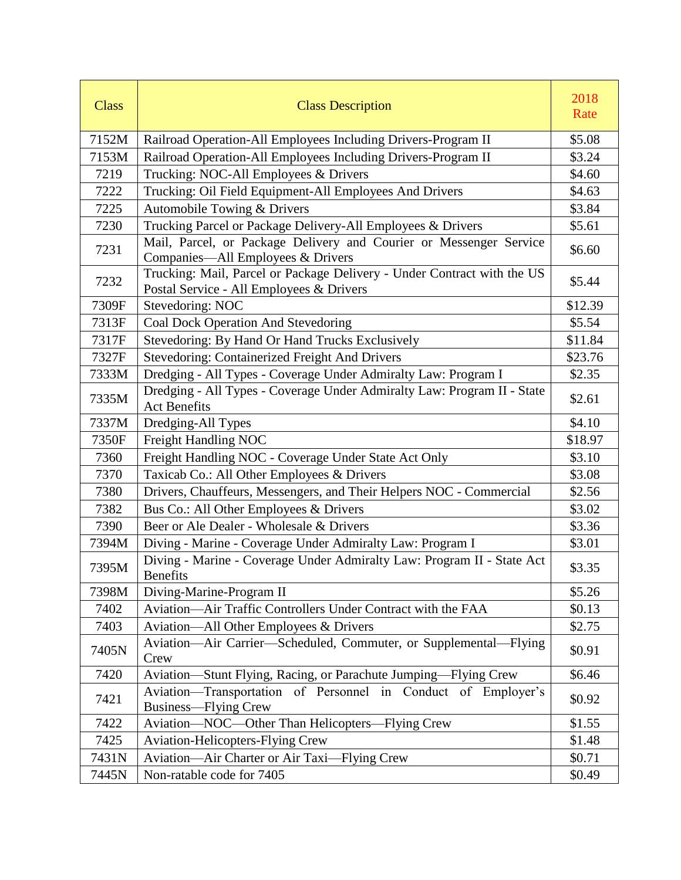| <b>Class</b> | <b>Class Description</b>                                                                                            | 2018<br>Rate |
|--------------|---------------------------------------------------------------------------------------------------------------------|--------------|
| 7152M        | Railroad Operation-All Employees Including Drivers-Program II                                                       | \$5.08       |
| 7153M        | Railroad Operation-All Employees Including Drivers-Program II                                                       | \$3.24       |
| 7219         | Trucking: NOC-All Employees & Drivers                                                                               | \$4.60       |
| 7222         | Trucking: Oil Field Equipment-All Employees And Drivers                                                             | \$4.63       |
| 7225         | Automobile Towing & Drivers                                                                                         | \$3.84       |
| 7230         | Trucking Parcel or Package Delivery-All Employees & Drivers                                                         | \$5.61       |
| 7231         | Mail, Parcel, or Package Delivery and Courier or Messenger Service<br>Companies-All Employees & Drivers             | \$6.60       |
| 7232         | Trucking: Mail, Parcel or Package Delivery - Under Contract with the US<br>Postal Service - All Employees & Drivers | \$5.44       |
| 7309F        | Stevedoring: NOC                                                                                                    | \$12.39      |
| 7313F        | Coal Dock Operation And Stevedoring                                                                                 | \$5.54       |
| 7317F        | Stevedoring: By Hand Or Hand Trucks Exclusively                                                                     | \$11.84      |
| 7327F        | Stevedoring: Containerized Freight And Drivers                                                                      | \$23.76      |
| 7333M        | Dredging - All Types - Coverage Under Admiralty Law: Program I                                                      | \$2.35       |
| 7335M        | Dredging - All Types - Coverage Under Admiralty Law: Program II - State<br><b>Act Benefits</b>                      | \$2.61       |
| 7337M        | Dredging-All Types                                                                                                  | \$4.10       |
| 7350F        | Freight Handling NOC                                                                                                | \$18.97      |
| 7360         | Freight Handling NOC - Coverage Under State Act Only                                                                | \$3.10       |
| 7370         | Taxicab Co.: All Other Employees & Drivers                                                                          | \$3.08       |
| 7380         | Drivers, Chauffeurs, Messengers, and Their Helpers NOC - Commercial                                                 | \$2.56       |
| 7382         | Bus Co.: All Other Employees & Drivers                                                                              | \$3.02       |
| 7390         | Beer or Ale Dealer - Wholesale & Drivers                                                                            | \$3.36       |
| 7394M        | Diving - Marine - Coverage Under Admiralty Law: Program I                                                           | \$3.01       |
| 7395M        | Diving - Marine - Coverage Under Admiralty Law: Program II - State Act<br><b>Benefits</b>                           | \$3.35       |
| 7398M        | Diving-Marine-Program II                                                                                            | \$5.26       |
| 7402         | Aviation-Air Traffic Controllers Under Contract with the FAA                                                        | \$0.13       |
| 7403         | Aviation—All Other Employees & Drivers                                                                              | \$2.75       |
| 7405N        | Aviation—Air Carrier—Scheduled, Commuter, or Supplemental—Flying<br>Crew                                            | \$0.91       |
| 7420         | Aviation-Stunt Flying, Racing, or Parachute Jumping-Flying Crew                                                     | \$6.46       |
| 7421         | Aviation-Transportation of Personnel in Conduct of Employer's<br>Business—Flying Crew                               | \$0.92       |
| 7422         | Aviation-NOC-Other Than Helicopters-Flying Crew                                                                     | \$1.55       |
| 7425         | <b>Aviation-Helicopters-Flying Crew</b>                                                                             | \$1.48       |
| 7431N        | Aviation—Air Charter or Air Taxi—Flying Crew                                                                        | \$0.71       |
| 7445N        | Non-ratable code for 7405                                                                                           | \$0.49       |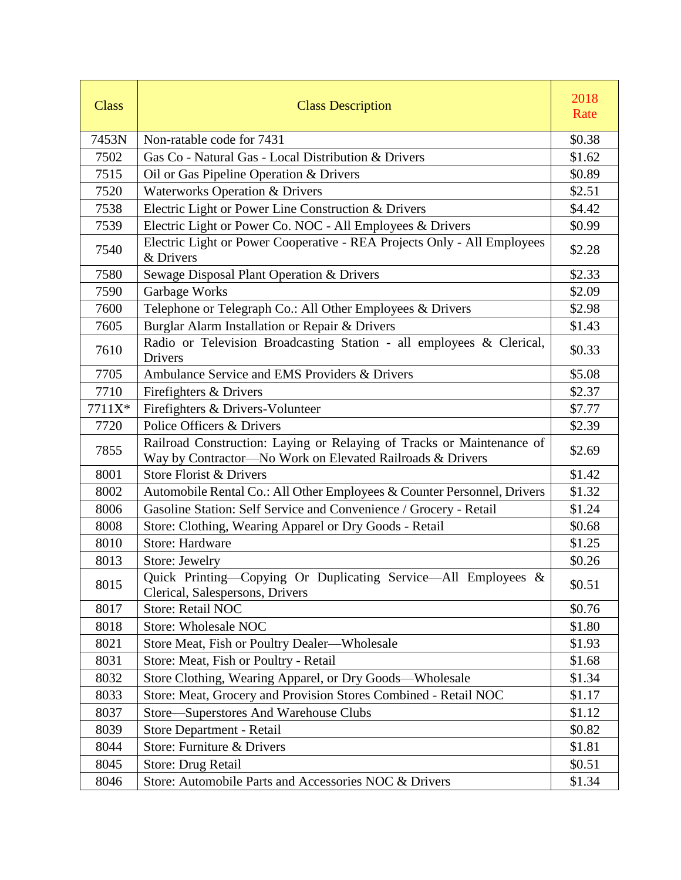| <b>Class</b> | <b>Class Description</b>                                                                                                           | 2018<br>Rate |
|--------------|------------------------------------------------------------------------------------------------------------------------------------|--------------|
| 7453N        | Non-ratable code for 7431                                                                                                          | \$0.38       |
| 7502         | Gas Co - Natural Gas - Local Distribution & Drivers                                                                                | \$1.62       |
| 7515         | Oil or Gas Pipeline Operation & Drivers                                                                                            | \$0.89       |
| 7520         | Waterworks Operation & Drivers                                                                                                     | \$2.51       |
| 7538         | Electric Light or Power Line Construction & Drivers                                                                                | \$4.42       |
| 7539         | Electric Light or Power Co. NOC - All Employees & Drivers                                                                          | \$0.99       |
| 7540         | Electric Light or Power Cooperative - REA Projects Only - All Employees<br>& Drivers                                               | \$2.28       |
| 7580         | Sewage Disposal Plant Operation & Drivers                                                                                          | \$2.33       |
| 7590         | Garbage Works                                                                                                                      | \$2.09       |
| 7600         | Telephone or Telegraph Co.: All Other Employees & Drivers                                                                          | \$2.98       |
| 7605         | Burglar Alarm Installation or Repair & Drivers                                                                                     | \$1.43       |
| 7610         | Radio or Television Broadcasting Station - all employees & Clerical,<br>Drivers                                                    | \$0.33       |
| 7705         | Ambulance Service and EMS Providers & Drivers                                                                                      | \$5.08       |
| 7710         | Firefighters & Drivers                                                                                                             | \$2.37       |
| 7711X*       | Firefighters & Drivers-Volunteer                                                                                                   | \$7.77       |
| 7720         | Police Officers & Drivers                                                                                                          | \$2.39       |
| 7855         | Railroad Construction: Laying or Relaying of Tracks or Maintenance of<br>Way by Contractor-No Work on Elevated Railroads & Drivers | \$2.69       |
| 8001         | Store Florist & Drivers                                                                                                            | \$1.42       |
| 8002         | Automobile Rental Co.: All Other Employees & Counter Personnel, Drivers                                                            | \$1.32       |
| 8006         | Gasoline Station: Self Service and Convenience / Grocery - Retail                                                                  | \$1.24       |
| 8008         | Store: Clothing, Wearing Apparel or Dry Goods - Retail                                                                             | \$0.68       |
| 8010         | <b>Store: Hardware</b>                                                                                                             | \$1.25       |
| 8013         | Store: Jewelry                                                                                                                     | \$0.26       |
| 8015         | Quick Printing-Copying Or Duplicating Service-All Employees &<br>Clerical, Salespersons, Drivers                                   | \$0.51       |
| 8017         | <b>Store: Retail NOC</b>                                                                                                           | \$0.76       |
| 8018         | <b>Store: Wholesale NOC</b>                                                                                                        | \$1.80       |
| 8021         | Store Meat, Fish or Poultry Dealer—Wholesale                                                                                       | \$1.93       |
| 8031         | Store: Meat, Fish or Poultry - Retail                                                                                              | \$1.68       |
| 8032         | Store Clothing, Wearing Apparel, or Dry Goods-Wholesale                                                                            | \$1.34       |
| 8033         | Store: Meat, Grocery and Provision Stores Combined - Retail NOC                                                                    | \$1.17       |
| 8037         | Store-Superstores And Warehouse Clubs                                                                                              | \$1.12       |
| 8039         | Store Department - Retail                                                                                                          | \$0.82       |
| 8044         | Store: Furniture & Drivers                                                                                                         | \$1.81       |
| 8045         | Store: Drug Retail                                                                                                                 | \$0.51       |
| 8046         | Store: Automobile Parts and Accessories NOC & Drivers                                                                              | \$1.34       |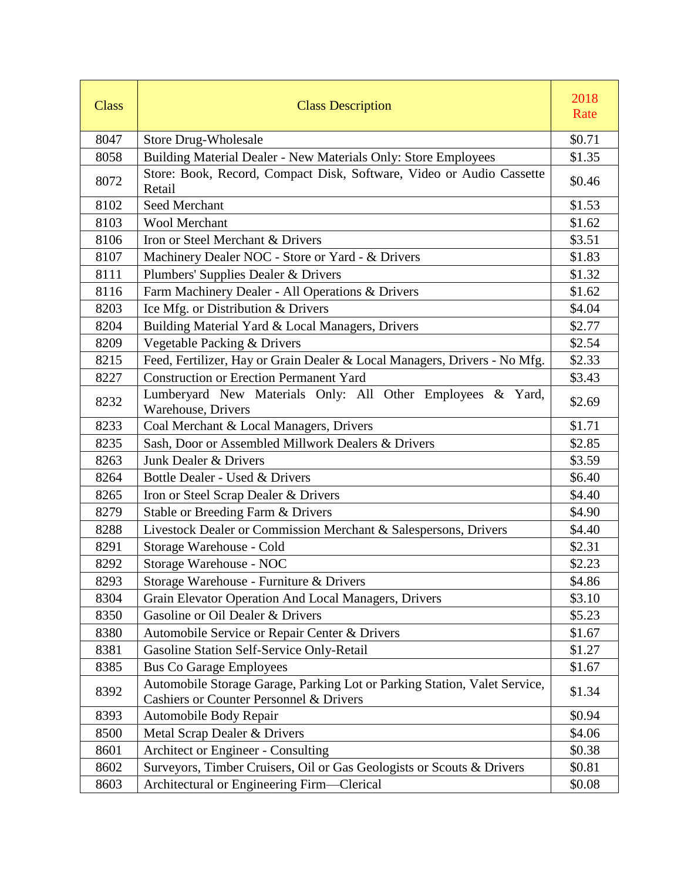| <b>Class</b> | <b>Class Description</b>                                                                                             | 2018<br>Rate |
|--------------|----------------------------------------------------------------------------------------------------------------------|--------------|
| 8047         | <b>Store Drug-Wholesale</b>                                                                                          | \$0.71       |
| 8058         | Building Material Dealer - New Materials Only: Store Employees                                                       | \$1.35       |
| 8072         | Store: Book, Record, Compact Disk, Software, Video or Audio Cassette<br>Retail                                       | \$0.46       |
| 8102         | Seed Merchant                                                                                                        | \$1.53       |
| 8103         | <b>Wool Merchant</b>                                                                                                 | \$1.62       |
| 8106         | Iron or Steel Merchant & Drivers                                                                                     | \$3.51       |
| 8107         | Machinery Dealer NOC - Store or Yard - & Drivers                                                                     | \$1.83       |
| 8111         | Plumbers' Supplies Dealer & Drivers                                                                                  | \$1.32       |
| 8116         | Farm Machinery Dealer - All Operations & Drivers                                                                     | \$1.62       |
| 8203         | Ice Mfg. or Distribution & Drivers                                                                                   | \$4.04       |
| 8204         | Building Material Yard & Local Managers, Drivers                                                                     | \$2.77       |
| 8209         | Vegetable Packing & Drivers                                                                                          | \$2.54       |
| 8215         | Feed, Fertilizer, Hay or Grain Dealer & Local Managers, Drivers - No Mfg.                                            | \$2.33       |
| 8227         | <b>Construction or Erection Permanent Yard</b>                                                                       | \$3.43       |
| 8232         | Lumberyard New Materials Only: All Other Employees & Yard,<br>Warehouse, Drivers                                     | \$2.69       |
| 8233         | Coal Merchant & Local Managers, Drivers                                                                              | \$1.71       |
| 8235         | Sash, Door or Assembled Millwork Dealers & Drivers                                                                   | \$2.85       |
| 8263         | Junk Dealer & Drivers                                                                                                | \$3.59       |
| 8264         | Bottle Dealer - Used & Drivers                                                                                       | \$6.40       |
| 8265         | Iron or Steel Scrap Dealer & Drivers                                                                                 | \$4.40       |
| 8279         | Stable or Breeding Farm & Drivers                                                                                    | \$4.90       |
| 8288         | Livestock Dealer or Commission Merchant & Salespersons, Drivers                                                      | \$4.40       |
| 8291         | Storage Warehouse - Cold                                                                                             | \$2.31       |
| 8292         | Storage Warehouse - NOC                                                                                              | \$2.23       |
| 8293         | Storage Warehouse - Furniture & Drivers                                                                              | \$4.86       |
| 8304         | Grain Elevator Operation And Local Managers, Drivers                                                                 | \$3.10       |
| 8350         | Gasoline or Oil Dealer & Drivers                                                                                     | \$5.23       |
| 8380         | Automobile Service or Repair Center & Drivers                                                                        | \$1.67       |
| 8381         | Gasoline Station Self-Service Only-Retail                                                                            | \$1.27       |
| 8385         | <b>Bus Co Garage Employees</b>                                                                                       | \$1.67       |
| 8392         | Automobile Storage Garage, Parking Lot or Parking Station, Valet Service,<br>Cashiers or Counter Personnel & Drivers | \$1.34       |
| 8393         | Automobile Body Repair                                                                                               | \$0.94       |
| 8500         | Metal Scrap Dealer & Drivers                                                                                         | \$4.06       |
| 8601         | Architect or Engineer - Consulting                                                                                   | \$0.38       |
| 8602         | Surveyors, Timber Cruisers, Oil or Gas Geologists or Scouts & Drivers                                                | \$0.81       |
| 8603         | Architectural or Engineering Firm-Clerical                                                                           | \$0.08       |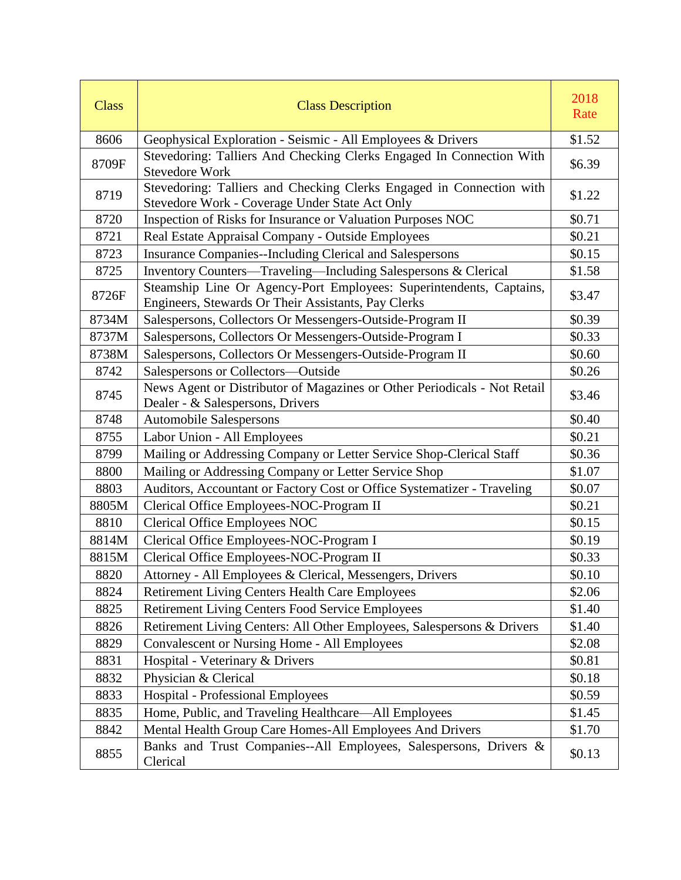| <b>Class</b> | <b>Class Description</b>                                                                                                   | 2018<br>Rate |
|--------------|----------------------------------------------------------------------------------------------------------------------------|--------------|
| 8606         | Geophysical Exploration - Seismic - All Employees & Drivers                                                                | \$1.52       |
| 8709F        | Stevedoring: Talliers And Checking Clerks Engaged In Connection With<br><b>Stevedore Work</b>                              | \$6.39       |
| 8719         | Stevedoring: Talliers and Checking Clerks Engaged in Connection with<br>Stevedore Work - Coverage Under State Act Only     | \$1.22       |
| 8720         | Inspection of Risks for Insurance or Valuation Purposes NOC                                                                | \$0.71       |
| 8721         | Real Estate Appraisal Company - Outside Employees                                                                          | \$0.21       |
| 8723         | <b>Insurance Companies--Including Clerical and Salespersons</b>                                                            | \$0.15       |
| 8725         | Inventory Counters—Traveling—Including Salespersons & Clerical                                                             | \$1.58       |
| 8726F        | Steamship Line Or Agency-Port Employees: Superintendents, Captains,<br>Engineers, Stewards Or Their Assistants, Pay Clerks | \$3.47       |
| 8734M        | Salespersons, Collectors Or Messengers-Outside-Program II                                                                  | \$0.39       |
| 8737M        | Salespersons, Collectors Or Messengers-Outside-Program I                                                                   | \$0.33       |
| 8738M        | Salespersons, Collectors Or Messengers-Outside-Program II                                                                  | \$0.60       |
| 8742         | Salespersons or Collectors-Outside                                                                                         | \$0.26       |
| 8745         | News Agent or Distributor of Magazines or Other Periodicals - Not Retail<br>Dealer - & Salespersons, Drivers               | \$3.46       |
| 8748         | <b>Automobile Salespersons</b>                                                                                             | \$0.40       |
| 8755         | Labor Union - All Employees                                                                                                | \$0.21       |
| 8799         | Mailing or Addressing Company or Letter Service Shop-Clerical Staff                                                        | \$0.36       |
| 8800         | Mailing or Addressing Company or Letter Service Shop                                                                       | \$1.07       |
| 8803         | Auditors, Accountant or Factory Cost or Office Systematizer - Traveling                                                    | \$0.07       |
| 8805M        | Clerical Office Employees-NOC-Program II                                                                                   | \$0.21       |
| 8810         | <b>Clerical Office Employees NOC</b>                                                                                       | \$0.15       |
| 8814M        | Clerical Office Employees-NOC-Program I                                                                                    | \$0.19       |
| 8815M        | Clerical Office Employees-NOC-Program II                                                                                   | \$0.33       |
| 8820         | Attorney - All Employees & Clerical, Messengers, Drivers                                                                   | \$0.10       |
| 8824         | <b>Retirement Living Centers Health Care Employees</b>                                                                     | \$2.06       |
| 8825         | <b>Retirement Living Centers Food Service Employees</b>                                                                    | \$1.40       |
| 8826         | Retirement Living Centers: All Other Employees, Salespersons & Drivers                                                     | \$1.40       |
| 8829         | <b>Convalescent or Nursing Home - All Employees</b>                                                                        | \$2.08       |
| 8831         | Hospital - Veterinary & Drivers                                                                                            | \$0.81       |
| 8832         | Physician & Clerical                                                                                                       | \$0.18       |
| 8833         | <b>Hospital - Professional Employees</b>                                                                                   | \$0.59       |
| 8835         | Home, Public, and Traveling Healthcare—All Employees                                                                       | \$1.45       |
| 8842         | Mental Health Group Care Homes-All Employees And Drivers                                                                   | \$1.70       |
| 8855         | Banks and Trust Companies--All Employees, Salespersons, Drivers &<br>Clerical                                              | \$0.13       |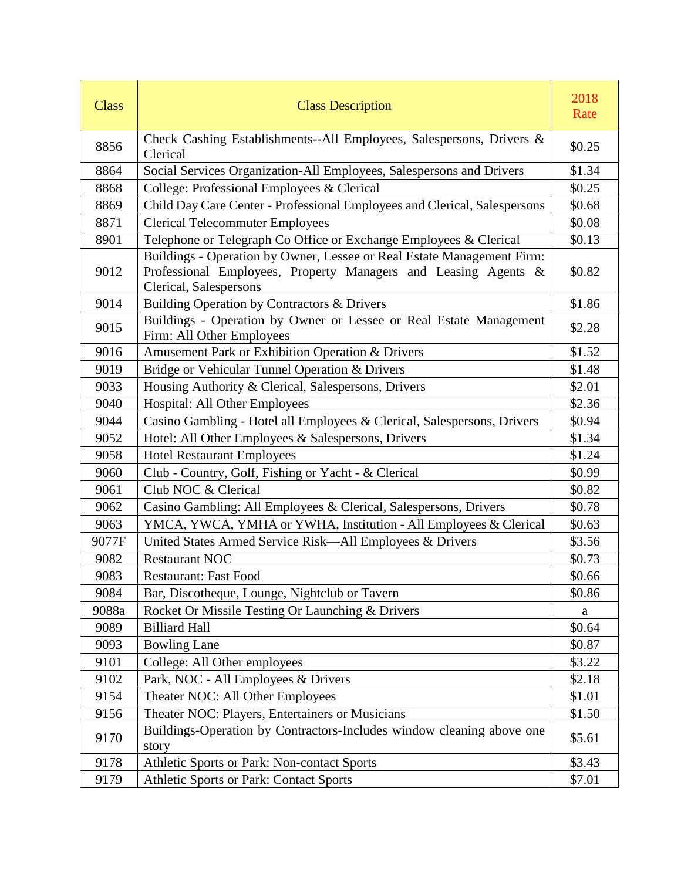| <b>Class</b> | <b>Class Description</b>                                                                                                                                           | 2018<br>Rate |
|--------------|--------------------------------------------------------------------------------------------------------------------------------------------------------------------|--------------|
| 8856         | Check Cashing Establishments--All Employees, Salespersons, Drivers &<br>Clerical                                                                                   | \$0.25       |
| 8864         | Social Services Organization-All Employees, Salespersons and Drivers                                                                                               | \$1.34       |
| 8868         | College: Professional Employees & Clerical                                                                                                                         | \$0.25       |
| 8869         | Child Day Care Center - Professional Employees and Clerical, Salespersons                                                                                          | \$0.68       |
| 8871         | <b>Clerical Telecommuter Employees</b>                                                                                                                             | \$0.08       |
| 8901         | Telephone or Telegraph Co Office or Exchange Employees & Clerical                                                                                                  | \$0.13       |
| 9012         | Buildings - Operation by Owner, Lessee or Real Estate Management Firm:<br>Professional Employees, Property Managers and Leasing Agents &<br>Clerical, Salespersons | \$0.82       |
| 9014         | Building Operation by Contractors & Drivers                                                                                                                        | \$1.86       |
| 9015         | Buildings - Operation by Owner or Lessee or Real Estate Management<br>Firm: All Other Employees                                                                    | \$2.28       |
| 9016         | Amusement Park or Exhibition Operation & Drivers                                                                                                                   | \$1.52       |
| 9019         | Bridge or Vehicular Tunnel Operation & Drivers                                                                                                                     | \$1.48       |
| 9033         | Housing Authority & Clerical, Salespersons, Drivers                                                                                                                | \$2.01       |
| 9040         | Hospital: All Other Employees                                                                                                                                      | \$2.36       |
| 9044         | Casino Gambling - Hotel all Employees & Clerical, Salespersons, Drivers                                                                                            | \$0.94       |
| 9052         | Hotel: All Other Employees & Salespersons, Drivers                                                                                                                 | \$1.34       |
| 9058         | <b>Hotel Restaurant Employees</b>                                                                                                                                  | \$1.24       |
| 9060         | Club - Country, Golf, Fishing or Yacht - & Clerical                                                                                                                | \$0.99       |
| 9061         | Club NOC & Clerical                                                                                                                                                | \$0.82       |
| 9062         | Casino Gambling: All Employees & Clerical, Salespersons, Drivers                                                                                                   | \$0.78       |
| 9063         | YMCA, YWCA, YMHA or YWHA, Institution - All Employees & Clerical                                                                                                   | \$0.63       |
| 9077F        | United States Armed Service Risk—All Employees & Drivers                                                                                                           | \$3.56       |
| 9082         | <b>Restaurant NOC</b>                                                                                                                                              | \$0.73       |
| 9083         | <b>Restaurant: Fast Food</b>                                                                                                                                       | \$0.66       |
| 9084         | Bar, Discotheque, Lounge, Nightclub or Tavern                                                                                                                      | \$0.86       |
| 9088a        | Rocket Or Missile Testing Or Launching & Drivers                                                                                                                   | a            |
| 9089         | <b>Billiard Hall</b>                                                                                                                                               | \$0.64       |
| 9093         | <b>Bowling Lane</b>                                                                                                                                                | \$0.87       |
| 9101         | College: All Other employees                                                                                                                                       | \$3.22       |
| 9102         | Park, NOC - All Employees & Drivers                                                                                                                                | \$2.18       |
| 9154         | Theater NOC: All Other Employees                                                                                                                                   | \$1.01       |
| 9156         | Theater NOC: Players, Entertainers or Musicians                                                                                                                    | \$1.50       |
| 9170         | Buildings-Operation by Contractors-Includes window cleaning above one<br>story                                                                                     | \$5.61       |
| 9178         | Athletic Sports or Park: Non-contact Sports                                                                                                                        | \$3.43       |
| 9179         | Athletic Sports or Park: Contact Sports                                                                                                                            | \$7.01       |